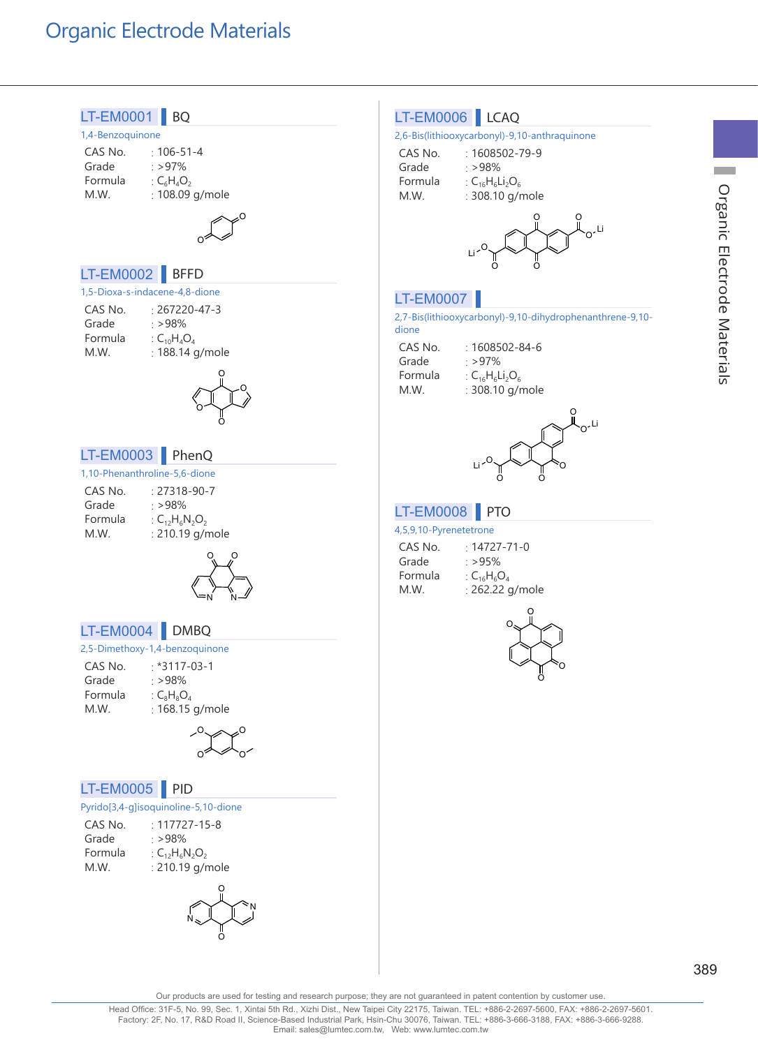## Organic Electrode Materials



Head Office: 31F-5, No. 99, Sec. 1, Xintai 5th Rd., Xizhi Dist., New Taipei City 22175, Taiwan. TEL: +886-2-2697-5600, FAX: +886-2-2697-5601.<br>Factory: 2F, No. 17, R&D Road II, Science-Based Industrial Park, Hsin-Chu 30076 Email: sales@lumtec.com.tw, Web: www.lumtec.com.tw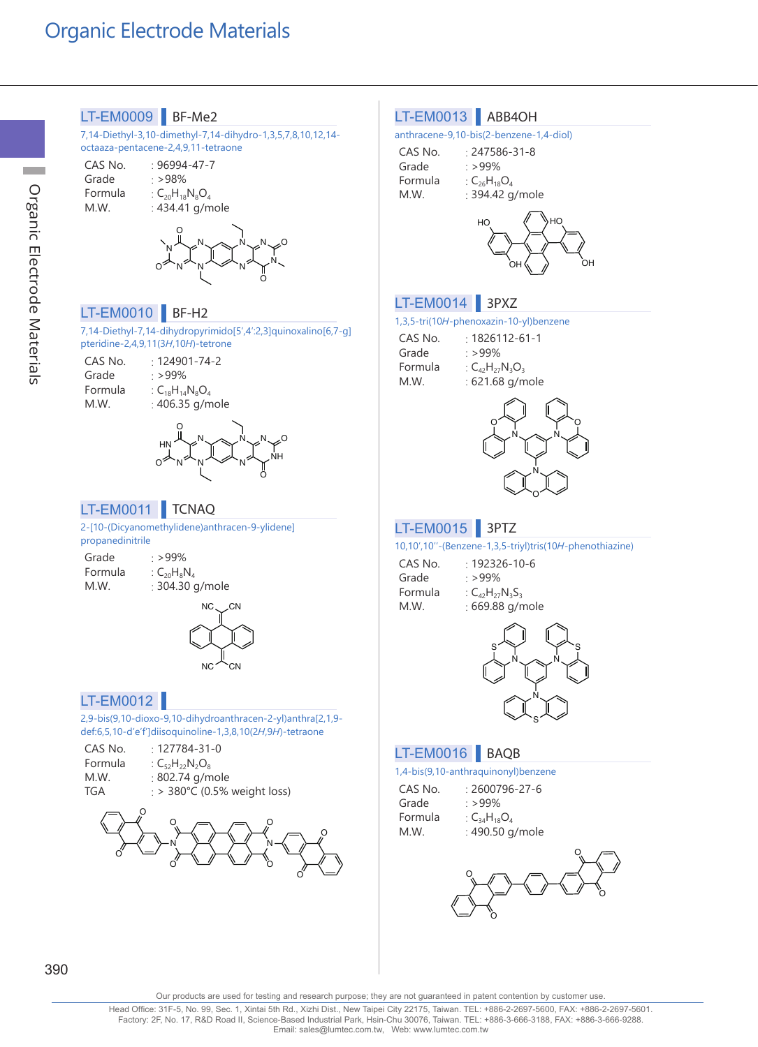

**Contract** 

Our products are used for testing and research purpose; they are not guaranteed in patent contention by customer use

Head Office: 31F-5, No. 99, Sec. 1, Xintai 5th Rd., Xizhi Dist., New Taipei City 22175, Taiwan. TEL: +886-2-2697-5600, FAX: +886-2-2697-5601.<br>Factory: 2F, No. 17, R&D Road II, Science-Based Industrial Park, Hsin-Chu 30076 Email: sales@lumtec.com.tw, Web: www.lumtec.com.tw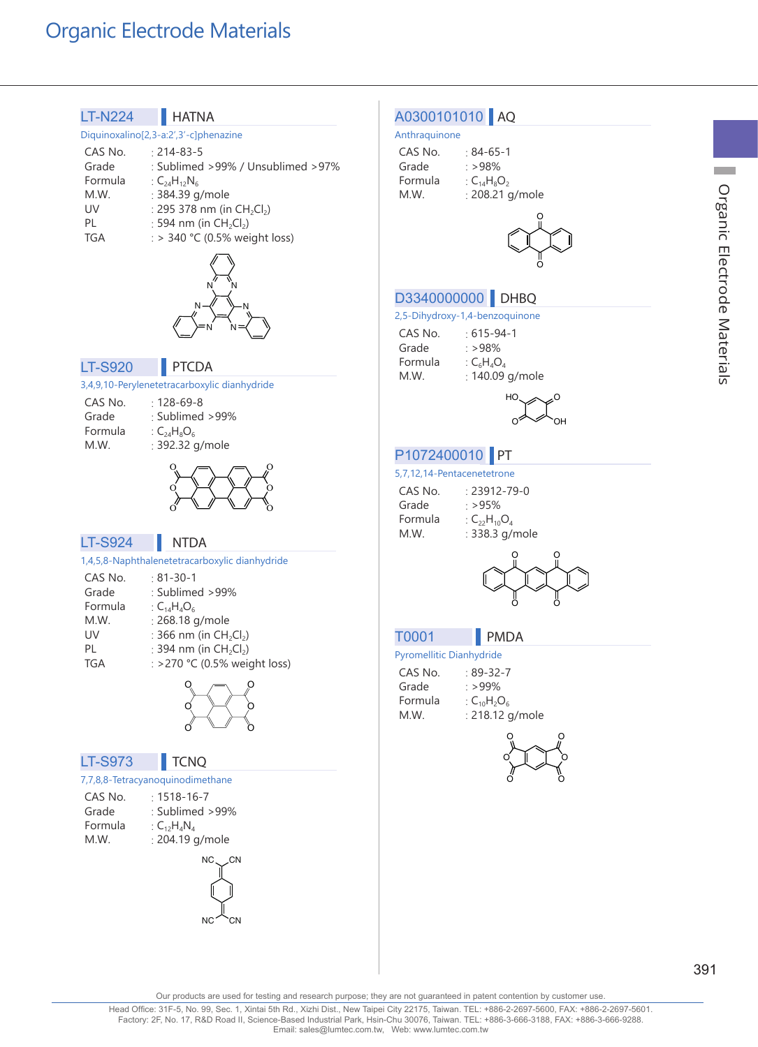## Organic Electrode Materials



Organic Electrode Materials Organic Electrode Materials

**College** 

Our products are used for testing and research purpose; they are not guaranteed in patent contention by customer use.

Head Office: 31F-5, No. 99, Sec. 1, Xintai 5th Rd., Xizhi Dist., New Taipei City 22175, Taiwan. TEL: +886-2-2697-5600, FAX: +886-2-2697-5601.<br>Factory: 2F, No. 17, R&D Road II, Science-Based Industrial Park, Hsin-Chu 30076 Email: sales@lumtec.com.tw, Web: www.lumtec.com.tw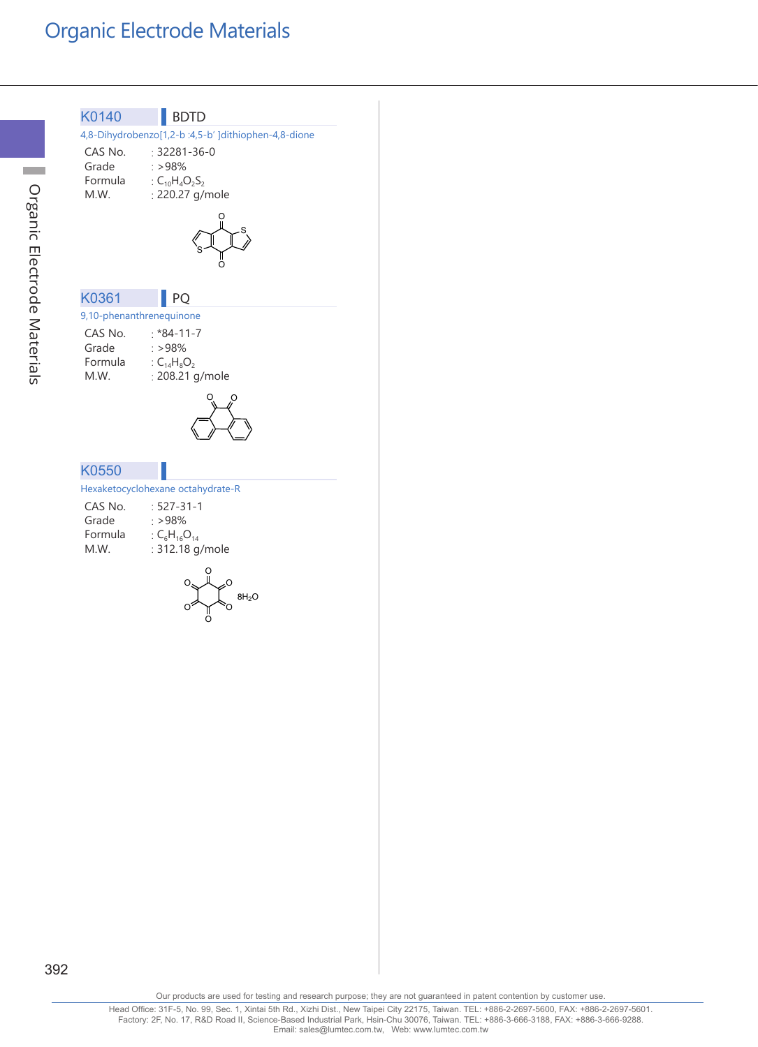

 $\mathcal{L}^{\text{max}}$ 

392

Our products are used for testing and research purpose; they are not guaranteed in patent contention by customer use.